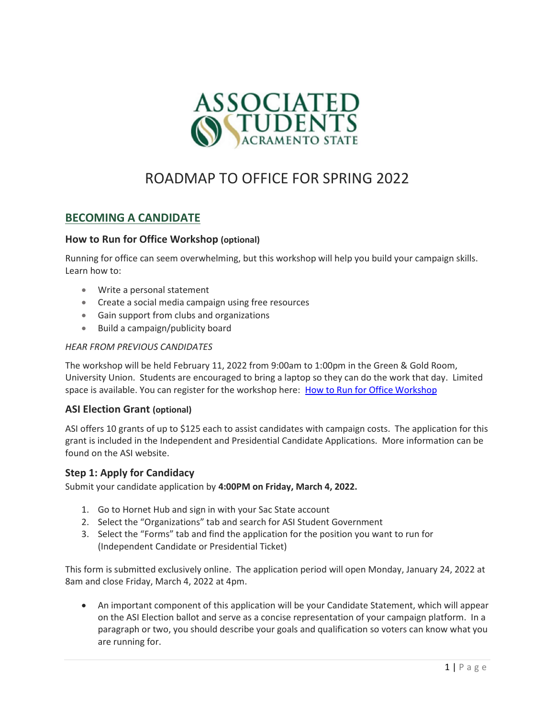

# ROADMAP TO OFFICE FOR SPRING 2022

# BECOMING A CANDIDATE

#### How to Run for Office Workshop (optional)

Running for office can seem overwhelming, but this workshop will help you build your campaign skills. Learn how to:

- Write a personal statement
- Create a social media campaign using free resources
- Gain support from clubs and organizations
- Build a campaign/publicity board

#### HEAR FROM PREVIOUS CANDIDATES

The workshop will be held February 11, 2022 from 9:00am to 1:00pm in the Green & Gold Room, University Union. Students are encouraged to bring a laptop so they can do the work that day. Limited space is available. You can register for the workshop here: How to Run for Office Workshop

#### ASI Election Grant (optional)

ASI offers 10 grants of up to \$125 each to assist candidates with campaign costs. The application for this grant is included in the Independent and Presidential Candidate Applications. More information can be found on the ASI website.

#### Step 1: Apply for Candidacy

Submit your candidate application by 4:00PM on Friday, March 4, 2022.

- 1. Go to Hornet Hub and sign in with your Sac State account
- 2. Select the "Organizations" tab and search for ASI Student Government
- 3. Select the "Forms" tab and find the application for the position you want to run for (Independent Candidate or Presidential Ticket)

This form is submitted exclusively online. The application period will open Monday, January 24, 2022 at 8am and close Friday, March 4, 2022 at 4pm.

 An important component of this application will be your Candidate Statement, which will appear on the ASI Election ballot and serve as a concise representation of your campaign platform. In a paragraph or two, you should describe your goals and qualification so voters can know what you are running for.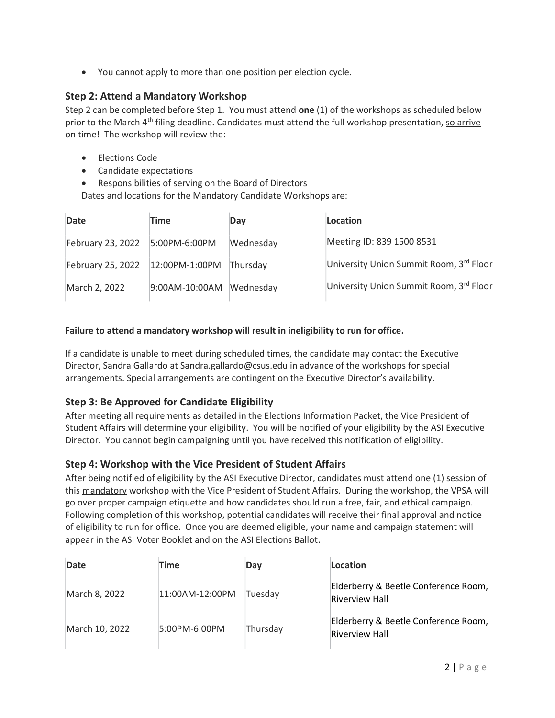You cannot apply to more than one position per election cycle.

## Step 2: Attend a Mandatory Workshop

Step 2 can be completed before Step 1. You must attend one  $(1)$  of the workshops as scheduled below prior to the March  $4<sup>th</sup>$  filing deadline. Candidates must attend the full workshop presentation, so arrive on time! The workshop will review the:

- Elections Code
- Candidate expectations
- Responsibilities of serving on the Board of Directors

Dates and locations for the Mandatory Candidate Workshops are:

| Date              | Time           | Day       | Location                                |
|-------------------|----------------|-----------|-----------------------------------------|
| February 23, 2022 | 5:00PM-6:00PM  | Wednesday | Meeting ID: 839 1500 8531               |
| February 25, 2022 | 12:00PM-1:00PM | Thursday  | University Union Summit Room, 3rd Floor |
| March 2, 2022     | 9:00AM-10:00AM | Wednesday | University Union Summit Room, 3rd Floor |

#### Failure to attend a mandatory workshop will result in ineligibility to run for office.

If a candidate is unable to meet during scheduled times, the candidate may contact the Executive Director, Sandra Gallardo at Sandra.gallardo@csus.edu in advance of the workshops for special arrangements. Special arrangements are contingent on the Executive Director's availability.

## Step 3: Be Approved for Candidate Eligibility

After meeting all requirements as detailed in the Elections Information Packet, the Vice President of Student Affairs will determine your eligibility. You will be notified of your eligibility by the ASI Executive Director. You cannot begin campaigning until you have received this notification of eligibility.

## Step 4: Workshop with the Vice President of Student Affairs

After being notified of eligibility by the ASI Executive Director, candidates must attend one (1) session of this mandatory workshop with the Vice President of Student Affairs. During the workshop, the VPSA will go over proper campaign etiquette and how candidates should run a free, fair, and ethical campaign. Following completion of this workshop, potential candidates will receive their final approval and notice of eligibility to run for office. Once you are deemed eligible, your name and campaign statement will appear in the ASI Voter Booklet and on the ASI Elections Ballot.

| Date           | Time            | Day      | Location                                                      |
|----------------|-----------------|----------|---------------------------------------------------------------|
| March 8, 2022  | 11:00AM-12:00PM | Tuesdav  | Elderberry & Beetle Conference Room,<br><b>Riverview Hall</b> |
| March 10, 2022 | 5:00PM-6:00PM   | Thursday | Elderberry & Beetle Conference Room,<br><b>Riverview Hall</b> |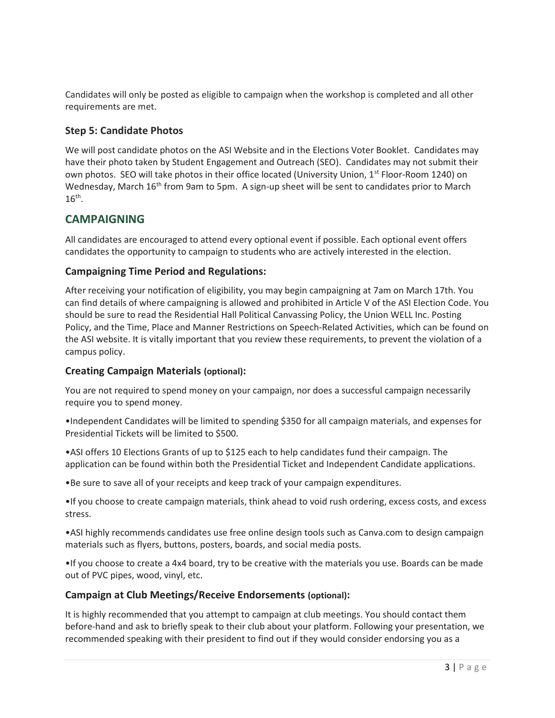Candidates will only be posted as eligible to campaign when the workshop is completed and all other requirements are met.

## Step 5: Candidate Photos

We will post candidate photos on the ASI Website and in the Elections Voter Booklet. Candidates may have their photo taken by Student Engagement and Outreach (SEO). Candidates may not submit their own photos. SEO will take photos in their office located (University Union, 1<sup>st</sup> Floor-Room 1240) on Wednesday, March 16<sup>th</sup> from 9am to 5pm. A sign-up sheet will be sent to candidates prior to March  $16^{\text{th}}$ .

## CAMPAIGNING

All candidates are encouraged to attend every optional event if possible. Each optional event offers candidates the opportunity to campaign to students who are actively interested in the election.

## Campaigning Time Period and Regulations:

After receiving your notification of eligibility, you may begin campaigning at 7am on March 17th. You can find details of where campaigning is allowed and prohibited in Article V of the ASI Election Code. You should be sure to read the Residential Hall Political Canvassing Policy, the Union WELL Inc. Posting Policy, and the Time, Place and Manner Restrictions on Speech-Related Activities, which can be found on the ASI website. It is vitally important that you review these requirements, to prevent the violation of a campus policy.

## Creating Campaign Materials (optional):

You are not required to spend money on your campaign, nor does a successful campaign necessarily require you to spend money.

•Independent Candidates will be limited to spending \$350 for all campaign materials, and expenses for Presidential Tickets will be limited to \$500.

•ASI offers 10 Elections Grants of up to \$125 each to help candidates fund their campaign. The application can be found within both the Presidential Ticket and Independent Candidate applications.

•Be sure to save all of your receipts and keep track of your campaign expenditures.

•If you choose to create campaign materials, think ahead to void rush ordering, excess costs, and excess stress.

•ASI highly recommends candidates use free online design tools such as Canva.com to design campaign materials such as flyers, buttons, posters, boards, and social media posts.

•If you choose to create a 4x4 board, try to be creative with the materials you use. Boards can be made out of PVC pipes, wood, vinyl, etc.

## Campaign at Club Meetings/Receive Endorsements (optional):

It is highly recommended that you attempt to campaign at club meetings. You should contact them before-hand and ask to briefly speak to their club about your platform. Following your presentation, we recommended speaking with their president to find out if they would consider endorsing you as a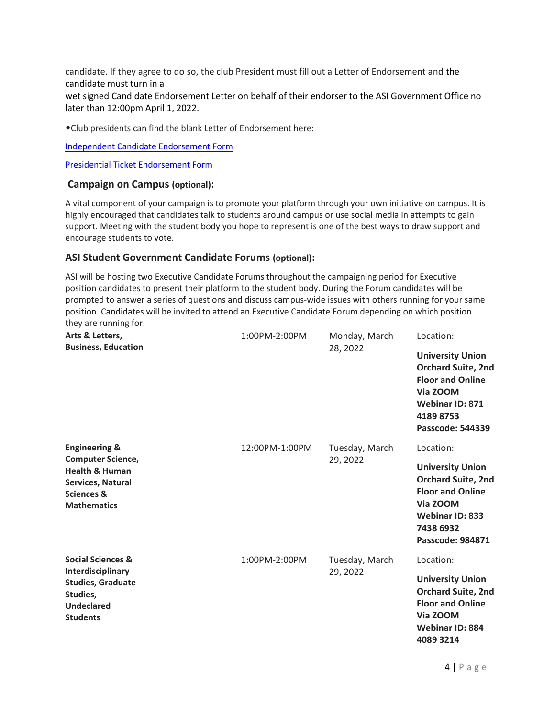candidate. If they agree to do so, the club President must fill out a Letter of Endorsement and the candidate must turn in a

wet signed Candidate Endorsement Letter on behalf of their endorser to the ASI Government Office no later than 12:00pm April 1, 2022.

•Club presidents can find the blank Letter of Endorsement here:

Independent Candidate Endorsement Form

Presidential Ticket Endorsement Form

#### Campaign on Campus (optional):

A vital component of your campaign is to promote your platform through your own initiative on campus. It is highly encouraged that candidates talk to students around campus or use social media in attempts to gain support. Meeting with the student body you hope to represent is one of the best ways to draw support and encourage students to vote.

#### ASI Student Government Candidate Forums (optional):

ASI will be hosting two Executive Candidate Forums throughout the campaigning period for Executive position candidates to present their platform to the student body. During the Forum candidates will be prompted to answer a series of questions and discuss campus-wide issues with others running for your same position. Candidates will be invited to attend an Executive Candidate Forum depending on which position they are running for.

| Arts & Letters,<br><b>Business, Education</b>                                                                                                         | 1:00PM-2:00PM  | Monday, March<br>28, 2022  | Location:<br><b>University Union</b><br><b>Orchard Suite, 2nd</b><br><b>Floor and Online</b><br>Via ZOOM<br><b>Webinar ID: 871</b><br>41898753<br>Passcode: 544339         |
|-------------------------------------------------------------------------------------------------------------------------------------------------------|----------------|----------------------------|----------------------------------------------------------------------------------------------------------------------------------------------------------------------------|
| <b>Engineering &amp;</b><br><b>Computer Science,</b><br><b>Health &amp; Human</b><br>Services, Natural<br><b>Sciences &amp;</b><br><b>Mathematics</b> | 12:00PM-1:00PM | Tuesday, March<br>29, 2022 | Location:<br><b>University Union</b><br><b>Orchard Suite, 2nd</b><br><b>Floor and Online</b><br>Via ZOOM<br><b>Webinar ID: 833</b><br>7438 6932<br><b>Passcode: 984871</b> |
| <b>Social Sciences &amp;</b><br>Interdisciplinary<br><b>Studies, Graduate</b><br>Studies,<br><b>Undeclared</b><br><b>Students</b>                     | 1:00PM-2:00PM  | Tuesday, March<br>29, 2022 | Location:<br><b>University Union</b><br><b>Orchard Suite, 2nd</b><br><b>Floor and Online</b><br>Via ZOOM<br><b>Webinar ID: 884</b><br>4089 3214                            |